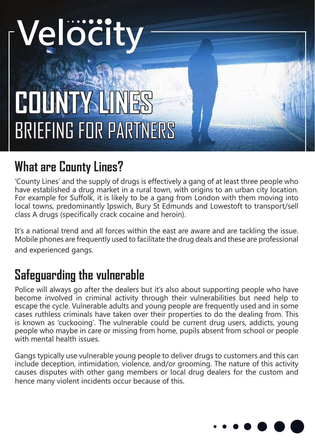# Velöcity

# **COUNTY LINES** BRIEFING FOR PARTNERS

## **What are County Lines?**

'County Lines' and the supply of drugs is effectively a gang of at least three people who have established a drug market in a rural town, with origins to an urban city location. For example for Suffolk, it is likely to be a gang from London with them moving into local towns, predominantly Ipswich, Bury St Edmunds and Lowestoft to transport/sell class A drugs (specifically crack cocaine and heroin).

It's a national trend and all forces within the east are aware and are tackling the issue. Mobile phones are frequently used to facilitate the drug deals and these are professional and experienced gangs.

### **Safeguarding the vulnerable**

Police will always go after the dealers but it's also about supporting people who have become involved in criminal activity through their vulnerabilities but need help to escape the cycle. Vulnerable adults and young people are frequently used and in some cases ruthless criminals have taken over their properties to do the dealing from. This is known as 'cuckooing'. The vulnerable could be current drug users, addicts, young people who maybe in care or missing from home, pupils absent from school or people with mental health issues.

Gangs typically use vulnerable young people to deliver drugs to customers and this can include deception, intimidation, violence, and/or grooming. The nature of this activity causes disputes with other gang members or local drug dealers for the custom and hence many violent incidents occur because of this.